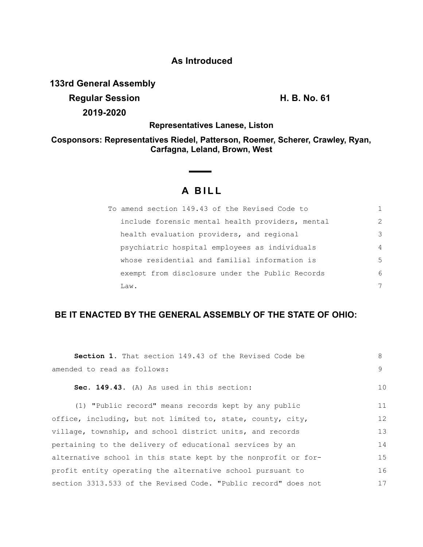## **As Introduced**

**133rd General Assembly**

**Regular Session H. B. No. 61 2019-2020**

**Representatives Lanese, Liston**

**Cosponsors: Representatives Riedel, Patterson, Roemer, Scherer, Crawley, Ryan, Carfagna, Leland, Brown, West**

# **A BILL**

| To amend section 149.43 of the Revised Code to   |                |
|--------------------------------------------------|----------------|
| include forensic mental health providers, mental | 2              |
| health evaluation providers, and regional        | 3              |
| psychiatric hospital employees as individuals    | $\overline{4}$ |
| whose residential and familial information is    | 5              |
| exempt from disclosure under the Public Records  | 6              |
| Law.                                             | 7              |

## **BE IT ENACTED BY THE GENERAL ASSEMBLY OF THE STATE OF OHIO:**

| <b>Section 1.</b> That section 149.43 of the Revised Code be   | 8  |
|----------------------------------------------------------------|----|
| amended to read as follows:                                    | 9  |
| Sec. 149.43. (A) As used in this section:                      | 10 |
| (1) "Public record" means records kept by any public           | 11 |
| office, including, but not limited to, state, county, city,    | 12 |
| village, township, and school district units, and records      | 13 |
| pertaining to the delivery of educational services by an       | 14 |
| alternative school in this state kept by the nonprofit or for- | 15 |
| profit entity operating the alternative school pursuant to     | 16 |
| section 3313.533 of the Revised Code. "Public record" does not | 17 |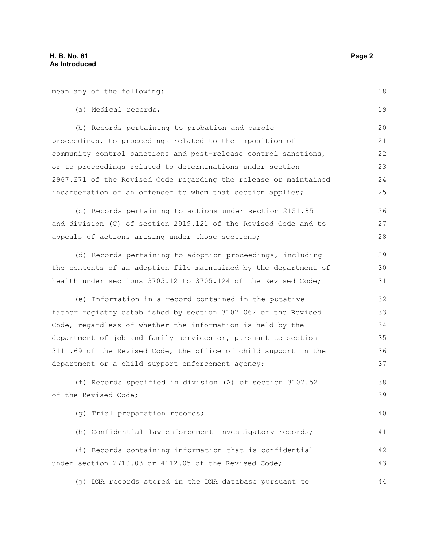mean any of the following: (a) Medical records; (b) Records pertaining to probation and parole proceedings, to proceedings related to the imposition of community control sanctions and post-release control sanctions, or to proceedings related to determinations under section 2967.271 of the Revised Code regarding the release or maintained incarceration of an offender to whom that section applies; (c) Records pertaining to actions under section 2151.85 and division (C) of section 2919.121 of the Revised Code and to appeals of actions arising under those sections; (d) Records pertaining to adoption proceedings, including the contents of an adoption file maintained by the department of health under sections 3705.12 to 3705.124 of the Revised Code; (e) Information in a record contained in the putative father registry established by section 3107.062 of the Revised Code, regardless of whether the information is held by the department of job and family services or, pursuant to section 3111.69 of the Revised Code, the office of child support in the department or a child support enforcement agency; (f) Records specified in division (A) of section 3107.52 of the Revised Code; (g) Trial preparation records; (h) Confidential law enforcement investigatory records; (i) Records containing information that is confidential under section 2710.03 or 4112.05 of the Revised Code; (j) DNA records stored in the DNA database pursuant to 18 19 20 21 22 23 24 25 26 27 28 29 30 31 32 33 34 35 36 37 38 39 40 41 42 43 44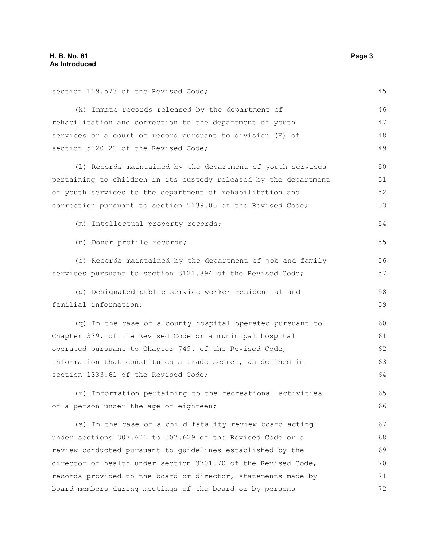section 109.573 of the Revised Code; (k) Inmate records released by the department of rehabilitation and correction to the department of youth services or a court of record pursuant to division (E) of section 5120.21 of the Revised Code; (l) Records maintained by the department of youth services pertaining to children in its custody released by the department of youth services to the department of rehabilitation and correction pursuant to section 5139.05 of the Revised Code; (m) Intellectual property records; (n) Donor profile records; (o) Records maintained by the department of job and family services pursuant to section 3121.894 of the Revised Code; (p) Designated public service worker residential and familial information; (q) In the case of a county hospital operated pursuant to Chapter 339. of the Revised Code or a municipal hospital operated pursuant to Chapter 749. of the Revised Code, information that constitutes a trade secret, as defined in section 1333.61 of the Revised Code; (r) Information pertaining to the recreational activities of a person under the age of eighteen; (s) In the case of a child fatality review board acting under sections 307.621 to 307.629 of the Revised Code or a review conducted pursuant to guidelines established by the director of health under section 3701.70 of the Revised Code, records provided to the board or director, statements made by 45 46 47 48 49 50 51 52 53 54 55 56 57 58 59 60 61 62 63 64 65 66 67 68 69 70 71

board members during meetings of the board or by persons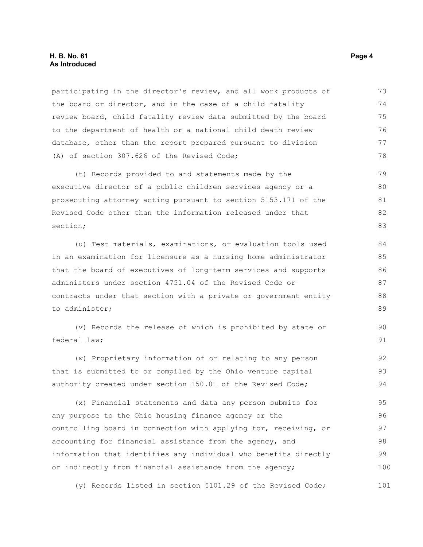#### **H. B. No. 61 Page 4 As Introduced**

participating in the director's review, and all work products of the board or director, and in the case of a child fatality review board, child fatality review data submitted by the board to the department of health or a national child death review database, other than the report prepared pursuant to division (A) of section 307.626 of the Revised Code; 73 74 75 76 77 78

(t) Records provided to and statements made by the executive director of a public children services agency or a prosecuting attorney acting pursuant to section 5153.171 of the Revised Code other than the information released under that section; 79 80 81 82 83

(u) Test materials, examinations, or evaluation tools used in an examination for licensure as a nursing home administrator that the board of executives of long-term services and supports administers under section 4751.04 of the Revised Code or contracts under that section with a private or government entity to administer; 84 85 86 87 88 89

(v) Records the release of which is prohibited by state or federal law;

(w) Proprietary information of or relating to any person that is submitted to or compiled by the Ohio venture capital authority created under section 150.01 of the Revised Code; 92 93 94

(x) Financial statements and data any person submits for any purpose to the Ohio housing finance agency or the controlling board in connection with applying for, receiving, or accounting for financial assistance from the agency, and information that identifies any individual who benefits directly or indirectly from financial assistance from the agency; 95 96 97 98 99 100

(y) Records listed in section 5101.29 of the Revised Code; 101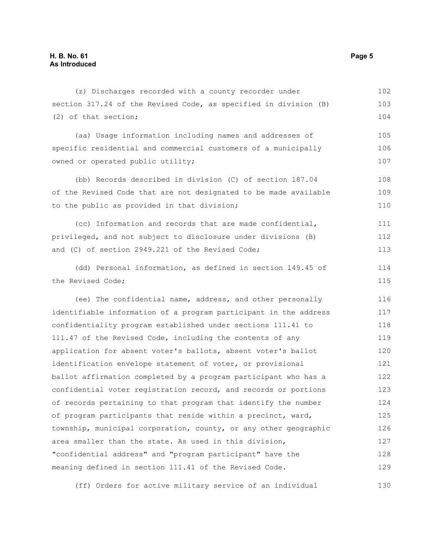(z) Discharges recorded with a county recorder under section 317.24 of the Revised Code, as specified in division (B) (2) of that section; 102 103 104

(aa) Usage information including names and addresses of specific residential and commercial customers of a municipally owned or operated public utility; 105 106 107

(bb) Records described in division (C) of section 187.04 of the Revised Code that are not designated to be made available to the public as provided in that division; 108 109 110

(cc) Information and records that are made confidential, privileged, and not subject to disclosure under divisions (B) and (C) of section 2949.221 of the Revised Code; 111 112 113

(dd) Personal information, as defined in section 149.45 of the Revised Code;

(ee) The confidential name, address, and other personally identifiable information of a program participant in the address confidentiality program established under sections 111.41 to 111.47 of the Revised Code, including the contents of any application for absent voter's ballots, absent voter's ballot identification envelope statement of voter, or provisional ballot affirmation completed by a program participant who has a confidential voter registration record, and records or portions of records pertaining to that program that identify the number of program participants that reside within a precinct, ward, township, municipal corporation, county, or any other geographic area smaller than the state. As used in this division, "confidential address" and "program participant" have the meaning defined in section 111.41 of the Revised Code. 116 117 118 119 120 121 122 123 124 125 126 127 128 129

(ff) Orders for active military service of an individual 130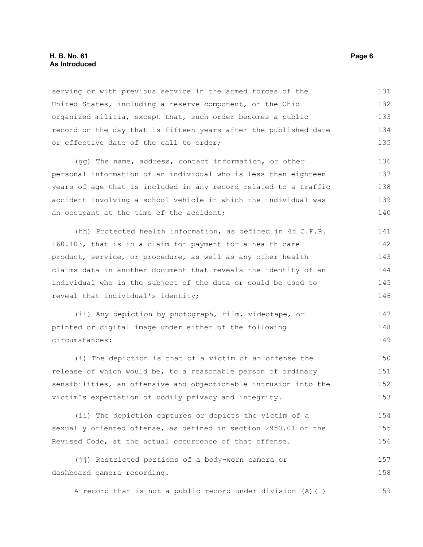#### **H. B. No. 61 Page 6 As Introduced**

serving or with previous service in the armed forces of the United States, including a reserve component, or the Ohio organized militia, except that, such order becomes a public record on the day that is fifteen years after the published date or effective date of the call to order; 131 132 133 134 135

(gg) The name, address, contact information, or other personal information of an individual who is less than eighteen years of age that is included in any record related to a traffic accident involving a school vehicle in which the individual was an occupant at the time of the accident; 136 137 138 139 140

(hh) Protected health information, as defined in 45 C.F.R. 160.103, that is in a claim for payment for a health care product, service, or procedure, as well as any other health claims data in another document that reveals the identity of an individual who is the subject of the data or could be used to reveal that individual's identity; 141 142 143 144 145 146

(ii) Any depiction by photograph, film, videotape, or printed or digital image under either of the following circumstances: 147 148 149

(i) The depiction is that of a victim of an offense the release of which would be, to a reasonable person of ordinary sensibilities, an offensive and objectionable intrusion into the victim's expectation of bodily privacy and integrity. 150 151 152 153

(ii) The depiction captures or depicts the victim of a sexually oriented offense, as defined in section 2950.01 of the Revised Code, at the actual occurrence of that offense. 154 155 156

(jj) Restricted portions of a body-worn camera or dashboard camera recording. 157 158

A record that is not a public record under division (A)(1) 159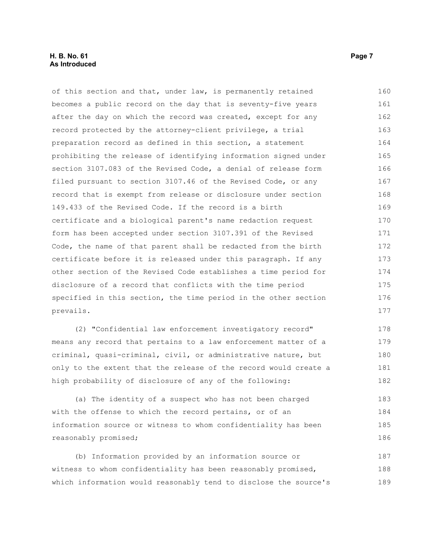#### **H. B. No. 61 Page 7 As Introduced**

of this section and that, under law, is permanently retained becomes a public record on the day that is seventy-five years after the day on which the record was created, except for any record protected by the attorney-client privilege, a trial preparation record as defined in this section, a statement prohibiting the release of identifying information signed under section 3107.083 of the Revised Code, a denial of release form filed pursuant to section 3107.46 of the Revised Code, or any record that is exempt from release or disclosure under section 149.433 of the Revised Code. If the record is a birth certificate and a biological parent's name redaction request form has been accepted under section 3107.391 of the Revised Code, the name of that parent shall be redacted from the birth certificate before it is released under this paragraph. If any other section of the Revised Code establishes a time period for disclosure of a record that conflicts with the time period specified in this section, the time period in the other section prevails. 160 161 162 163 164 165 166 167 168 169 170 171 172 173 174 175 176 177

(2) "Confidential law enforcement investigatory record" means any record that pertains to a law enforcement matter of a criminal, quasi-criminal, civil, or administrative nature, but only to the extent that the release of the record would create a high probability of disclosure of any of the following: 178 179 180 181 182

(a) The identity of a suspect who has not been charged with the offense to which the record pertains, or of an information source or witness to whom confidentiality has been reasonably promised; 183 184 185 186

(b) Information provided by an information source or witness to whom confidentiality has been reasonably promised, which information would reasonably tend to disclose the source's 187 188 189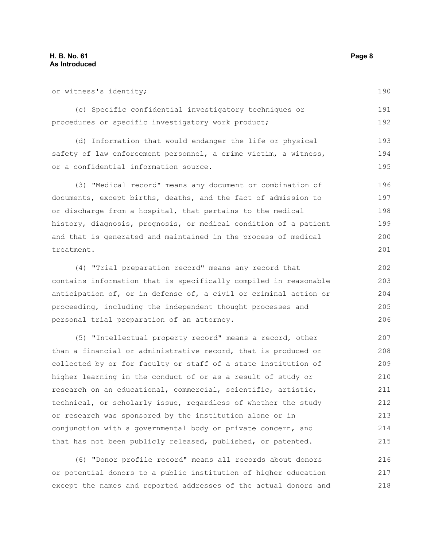or witness's identity; (c) Specific confidential investigatory techniques or procedures or specific investigatory work product; (d) Information that would endanger the life or physical safety of law enforcement personnel, a crime victim, a witness, or a confidential information source. (3) "Medical record" means any document or combination of documents, except births, deaths, and the fact of admission to or discharge from a hospital, that pertains to the medical history, diagnosis, prognosis, or medical condition of a patient and that is generated and maintained in the process of medical treatment. (4) "Trial preparation record" means any record that contains information that is specifically compiled in reasonable anticipation of, or in defense of, a civil or criminal action or proceeding, including the independent thought processes and personal trial preparation of an attorney. (5) "Intellectual property record" means a record, other than a financial or administrative record, that is produced or collected by or for faculty or staff of a state institution of higher learning in the conduct of or as a result of study or 190 191 192 193 194 195 196 197 198 199 200 201 202 203 204 205 206 207 208 209 210

research on an educational, commercial, scientific, artistic, technical, or scholarly issue, regardless of whether the study or research was sponsored by the institution alone or in conjunction with a governmental body or private concern, and that has not been publicly released, published, or patented. 211 212 213 214 215

(6) "Donor profile record" means all records about donors or potential donors to a public institution of higher education except the names and reported addresses of the actual donors and 216 217 218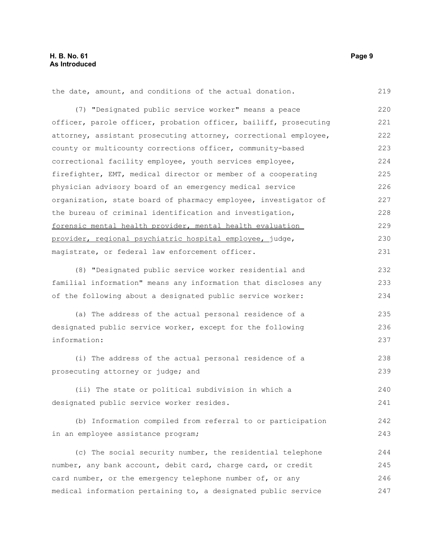the date, amount, and conditions of the actual donation. 219

(7) "Designated public service worker" means a peace officer, parole officer, probation officer, bailiff, prosecuting attorney, assistant prosecuting attorney, correctional employee, county or multicounty corrections officer, community-based correctional facility employee, youth services employee, firefighter, EMT, medical director or member of a cooperating physician advisory board of an emergency medical service organization, state board of pharmacy employee, investigator of the bureau of criminal identification and investigation, forensic mental health provider, mental health evaluation provider, regional psychiatric hospital employee, judge, magistrate, or federal law enforcement officer. 220 221 222 223 224 225 226 227 228 229 230 231

(8) "Designated public service worker residential and familial information" means any information that discloses any of the following about a designated public service worker: 232 233 234

(a) The address of the actual personal residence of a designated public service worker, except for the following information: 235 236 237

(i) The address of the actual personal residence of a prosecuting attorney or judge; and 238 239

(ii) The state or political subdivision in which a designated public service worker resides.

(b) Information compiled from referral to or participation in an employee assistance program;

(c) The social security number, the residential telephone number, any bank account, debit card, charge card, or credit card number, or the emergency telephone number of, or any medical information pertaining to, a designated public service 244 245 246 247

240 241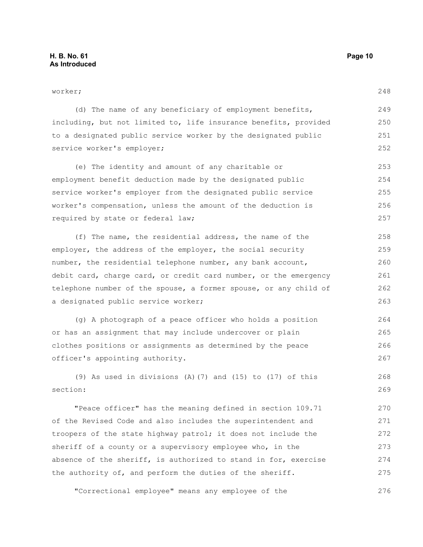required by state or federal law;

worker; (d) The name of any beneficiary of employment benefits, including, but not limited to, life insurance benefits, provided to a designated public service worker by the designated public service worker's employer; (e) The identity and amount of any charitable or employment benefit deduction made by the designated public service worker's employer from the designated public service worker's compensation, unless the amount of the deduction is 249 250 251 252 253 254 255 256

(f) The name, the residential address, the name of the employer, the address of the employer, the social security number, the residential telephone number, any bank account, debit card, charge card, or credit card number, or the emergency telephone number of the spouse, a former spouse, or any child of a designated public service worker; 258 259 260 261 262 263

(g) A photograph of a peace officer who holds a position or has an assignment that may include undercover or plain clothes positions or assignments as determined by the peace officer's appointing authority. 264 265 266 267

(9) As used in divisions (A)(7) and (15) to (17) of this section: 268 269

"Peace officer" has the meaning defined in section 109.71 of the Revised Code and also includes the superintendent and troopers of the state highway patrol; it does not include the sheriff of a county or a supervisory employee who, in the absence of the sheriff, is authorized to stand in for, exercise the authority of, and perform the duties of the sheriff. 270 271 272 273 274 275

"Correctional employee" means any employee of the 276

248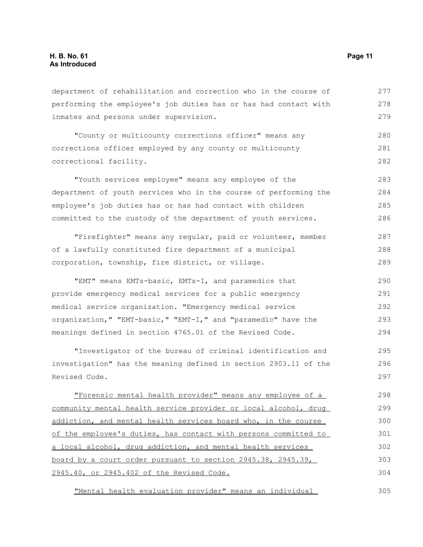department of rehabilitation and correction who in the course of performing the employee's job duties has or has had contact with inmates and persons under supervision. 277 278 279

"County or multicounty corrections officer" means any corrections officer employed by any county or multicounty correctional facility. 280 281 282

"Youth services employee" means any employee of the department of youth services who in the course of performing the employee's job duties has or has had contact with children committed to the custody of the department of youth services. 283 284 285 286

"Firefighter" means any regular, paid or volunteer, member of a lawfully constituted fire department of a municipal corporation, township, fire district, or village. 287 288 289

"EMT" means EMTs-basic, EMTs-I, and paramedics that provide emergency medical services for a public emergency medical service organization. "Emergency medical service organization," "EMT-basic," "EMT-I," and "paramedic" have the meanings defined in section 4765.01 of the Revised Code. 290 291 292 293 294

"Investigator of the bureau of criminal identification and investigation" has the meaning defined in section 2903.11 of the Revised Code. 295 296 297

"Forensic mental health provider" means any employee of a community mental health service provider or local alcohol, drug addiction, and mental health services board who, in the course of the employee's duties, has contact with persons committed to a local alcohol, drug addiction, and mental health services board by a court order pursuant to section 2945.38, 2945.39, 2945.40, or 2945.402 of the Revised Code. 298 299 300 301 302 303 304

"Mental health evaluation provider" means an individual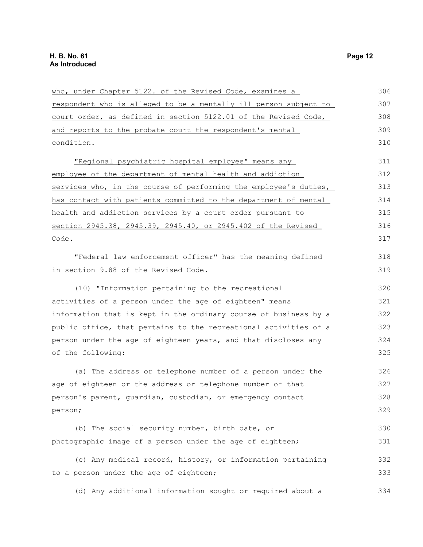| who, under Chapter 5122. of the Revised Code, examines a         | 306 |
|------------------------------------------------------------------|-----|
| respondent who is alleged to be a mentally ill person subject to | 307 |
| court order, as defined in section 5122.01 of the Revised Code,  | 308 |
| and reports to the probate court the respondent's mental         | 309 |
| condition.                                                       | 310 |
| "Regional psychiatric hospital employee" means any               | 311 |
| employee of the department of mental health and addiction        | 312 |
| services who, in the course of performing the employee's duties, | 313 |
| has contact with patients committed to the department of mental  | 314 |
| health and addiction services by a court order pursuant to       | 315 |
| section 2945.38, 2945.39, 2945.40, or 2945.402 of the Revised    | 316 |
| Code.                                                            | 317 |
| "Federal law enforcement officer" has the meaning defined        | 318 |
| in section 9.88 of the Revised Code.                             | 319 |
| (10) "Information pertaining to the recreational                 | 320 |
| activities of a person under the age of eighteen" means          | 321 |
| information that is kept in the ordinary course of business by a | 322 |
| public office, that pertains to the recreational activities of a | 323 |
| person under the age of eighteen years, and that discloses any   | 324 |
| of the following:                                                | 325 |
| (a) The address or telephone number of a person under the        | 326 |
| age of eighteen or the address or telephone number of that       | 327 |
| person's parent, guardian, custodian, or emergency contact       | 328 |
| person;                                                          | 329 |
| (b) The social security number, birth date, or                   | 330 |
| photographic image of a person under the age of eighteen;        | 331 |
| (c) Any medical record, history, or information pertaining       | 332 |
| to a person under the age of eighteen;                           | 333 |
| (d) Any additional information sought or required about a        | 334 |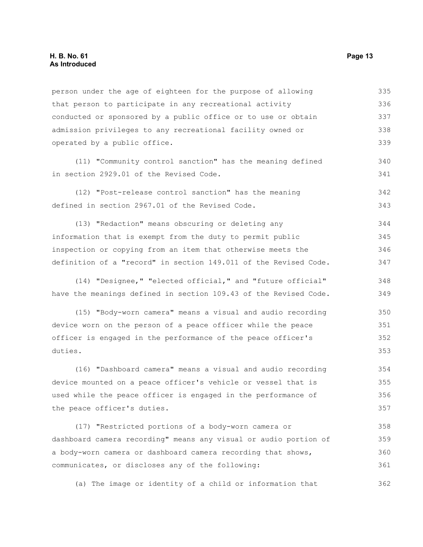person under the age of eighteen for the purpose of allowing that person to participate in any recreational activity conducted or sponsored by a public office or to use or obtain admission privileges to any recreational facility owned or operated by a public office. (11) "Community control sanction" has the meaning defined in section 2929.01 of the Revised Code. (12) "Post-release control sanction" has the meaning defined in section 2967.01 of the Revised Code. (13) "Redaction" means obscuring or deleting any information that is exempt from the duty to permit public inspection or copying from an item that otherwise meets the definition of a "record" in section 149.011 of the Revised Code. (14) "Designee," "elected official," and "future official" have the meanings defined in section 109.43 of the Revised Code. (15) "Body-worn camera" means a visual and audio recording device worn on the person of a peace officer while the peace officer is engaged in the performance of the peace officer's duties. (16) "Dashboard camera" means a visual and audio recording device mounted on a peace officer's vehicle or vessel that is used while the peace officer is engaged in the performance of the peace officer's duties. (17) "Restricted portions of a body-worn camera or dashboard camera recording" means any visual or audio portion of a body-worn camera or dashboard camera recording that shows, 335 336 337 338 339 340 341 342 343 344 345 346 347 348 349 350 351 352 353 354 355 356 357 358 359 360

(a) The image or identity of a child or information that 362

communicates, or discloses any of the following: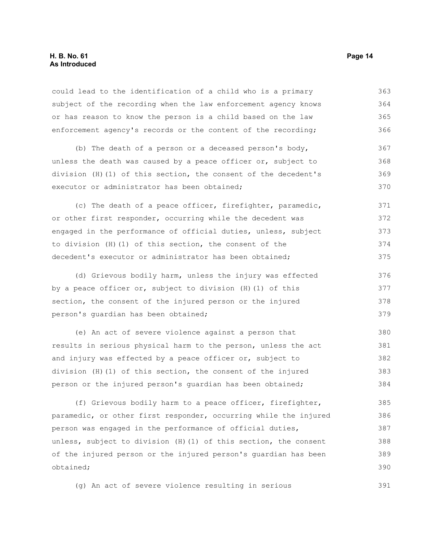#### **H. B. No. 61 Page 14 As Introduced**

could lead to the identification of a child who is a primary subject of the recording when the law enforcement agency knows or has reason to know the person is a child based on the law enforcement agency's records or the content of the recording; 363 364 365 366

(b) The death of a person or a deceased person's body, unless the death was caused by a peace officer or, subject to division (H)(1) of this section, the consent of the decedent's executor or administrator has been obtained; 367 368 369 370

(c) The death of a peace officer, firefighter, paramedic, or other first responder, occurring while the decedent was engaged in the performance of official duties, unless, subject to division (H)(1) of this section, the consent of the decedent's executor or administrator has been obtained; 371 372 373 374 375

(d) Grievous bodily harm, unless the injury was effected by a peace officer or, subject to division (H)(1) of this section, the consent of the injured person or the injured person's guardian has been obtained; 376 377 378 379

(e) An act of severe violence against a person that results in serious physical harm to the person, unless the act and injury was effected by a peace officer or, subject to division (H)(1) of this section, the consent of the injured person or the injured person's guardian has been obtained; 380 381 382 383 384

(f) Grievous bodily harm to a peace officer, firefighter, paramedic, or other first responder, occurring while the injured person was engaged in the performance of official duties, unless, subject to division (H)(1) of this section, the consent of the injured person or the injured person's guardian has been obtained; 385 386 387 388 389 390

(g) An act of severe violence resulting in serious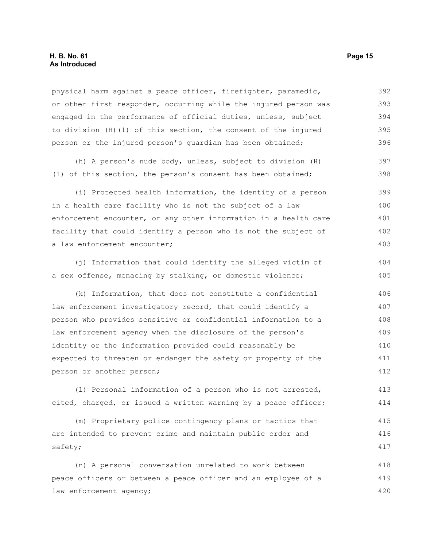physical harm against a peace officer, firefighter, paramedic, or other first responder, occurring while the injured person was engaged in the performance of official duties, unless, subject to division (H)(1) of this section, the consent of the injured person or the injured person's guardian has been obtained; 392 393 394 395 396

(h) A person's nude body, unless, subject to division (H) (1) of this section, the person's consent has been obtained;

(i) Protected health information, the identity of a person in a health care facility who is not the subject of a law enforcement encounter, or any other information in a health care facility that could identify a person who is not the subject of a law enforcement encounter; 399 400 401 402 403

(j) Information that could identify the alleged victim of a sex offense, menacing by stalking, or domestic violence; 404 405

(k) Information, that does not constitute a confidential law enforcement investigatory record, that could identify a person who provides sensitive or confidential information to a law enforcement agency when the disclosure of the person's identity or the information provided could reasonably be expected to threaten or endanger the safety or property of the person or another person; 406 407 408 409 410 411 412

(l) Personal information of a person who is not arrested, cited, charged, or issued a written warning by a peace officer; 413 414

(m) Proprietary police contingency plans or tactics that are intended to prevent crime and maintain public order and safety; 415 416 417

(n) A personal conversation unrelated to work between peace officers or between a peace officer and an employee of a law enforcement agency; 418 419 420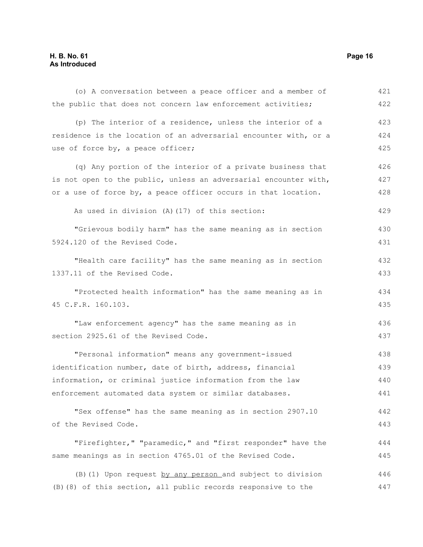### **H. B. No. 61 Page 16 As Introduced**

| (o) A conversation between a peace officer and a member of       | 421 |
|------------------------------------------------------------------|-----|
| the public that does not concern law enforcement activities;     | 422 |
| (p) The interior of a residence, unless the interior of a        | 423 |
| residence is the location of an adversarial encounter with, or a | 424 |
| use of force by, a peace officer;                                | 425 |
| (q) Any portion of the interior of a private business that       | 426 |
| is not open to the public, unless an adversarial encounter with, | 427 |
| or a use of force by, a peace officer occurs in that location.   | 428 |
| As used in division (A) (17) of this section:                    | 429 |
| "Grievous bodily harm" has the same meaning as in section        | 430 |
| 5924.120 of the Revised Code.                                    | 431 |
| "Health care facility" has the same meaning as in section        | 432 |
| 1337.11 of the Revised Code.                                     | 433 |
| "Protected health information" has the same meaning as in        | 434 |
| 45 C.F.R. 160.103.                                               | 435 |
| "Law enforcement agency" has the same meaning as in              | 436 |
| section 2925.61 of the Revised Code.                             | 437 |
| "Personal information" means any government-issued               | 438 |
| identification number, date of birth, address, financial         | 439 |
| information, or criminal justice information from the law        | 440 |
| enforcement automated data system or similar databases.          | 441 |
| "Sex offense" has the same meaning as in section 2907.10         | 442 |
| of the Revised Code.                                             | 443 |
| "Firefighter," "paramedic," and "first responder" have the       | 444 |
| same meanings as in section 4765.01 of the Revised Code.         | 445 |
| (B) (1) Upon request by any person and subject to division       | 446 |
| (B) (8) of this section, all public records responsive to the    | 447 |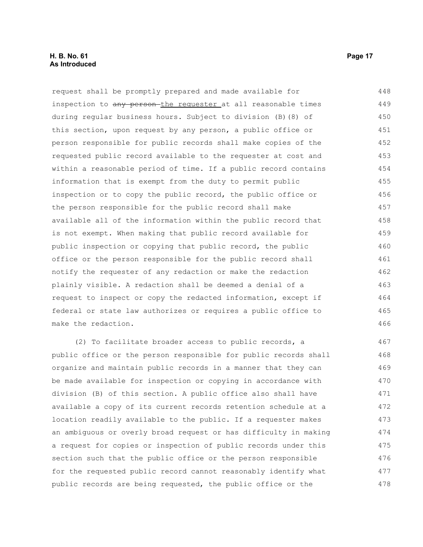request shall be promptly prepared and made available for inspection to any person-the requester at all reasonable times during regular business hours. Subject to division (B)(8) of this section, upon request by any person, a public office or person responsible for public records shall make copies of the requested public record available to the requester at cost and within a reasonable period of time. If a public record contains information that is exempt from the duty to permit public inspection or to copy the public record, the public office or the person responsible for the public record shall make available all of the information within the public record that is not exempt. When making that public record available for public inspection or copying that public record, the public office or the person responsible for the public record shall notify the requester of any redaction or make the redaction plainly visible. A redaction shall be deemed a denial of a request to inspect or copy the redacted information, except if federal or state law authorizes or requires a public office to make the redaction. 448 449 450 451 452 453 454 455 456 457 458 459 460 461 462 463 464 465 466

(2) To facilitate broader access to public records, a public office or the person responsible for public records shall organize and maintain public records in a manner that they can be made available for inspection or copying in accordance with division (B) of this section. A public office also shall have available a copy of its current records retention schedule at a location readily available to the public. If a requester makes an ambiguous or overly broad request or has difficulty in making a request for copies or inspection of public records under this section such that the public office or the person responsible for the requested public record cannot reasonably identify what public records are being requested, the public office or the 467 468 469 470 471 472 473 474 475 476 477 478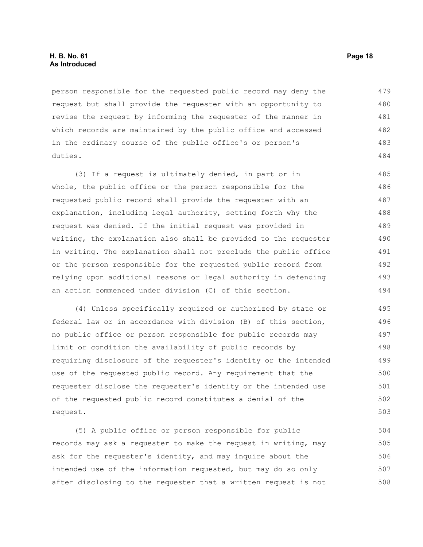#### **H. B. No. 61 Page 18 As Introduced**

person responsible for the requested public record may deny the request but shall provide the requester with an opportunity to revise the request by informing the requester of the manner in which records are maintained by the public office and accessed in the ordinary course of the public office's or person's duties. 479 480 481 482 483 484

(3) If a request is ultimately denied, in part or in whole, the public office or the person responsible for the requested public record shall provide the requester with an explanation, including legal authority, setting forth why the request was denied. If the initial request was provided in writing, the explanation also shall be provided to the requester in writing. The explanation shall not preclude the public office or the person responsible for the requested public record from relying upon additional reasons or legal authority in defending an action commenced under division (C) of this section. 485 486 487 488 489 490 491 492 493 494

(4) Unless specifically required or authorized by state or federal law or in accordance with division (B) of this section, no public office or person responsible for public records may limit or condition the availability of public records by requiring disclosure of the requester's identity or the intended use of the requested public record. Any requirement that the requester disclose the requester's identity or the intended use of the requested public record constitutes a denial of the request. 495 496 497 498 499 500 501 502 503

(5) A public office or person responsible for public records may ask a requester to make the request in writing, may ask for the requester's identity, and may inquire about the intended use of the information requested, but may do so only after disclosing to the requester that a written request is not 504 505 506 507 508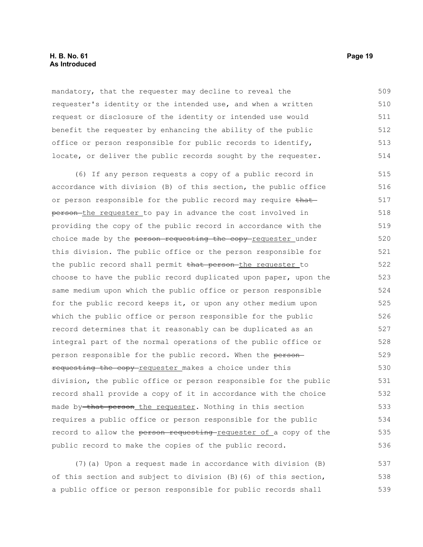#### **H. B. No. 61 Page 19 As Introduced**

mandatory, that the requester may decline to reveal the requester's identity or the intended use, and when a written request or disclosure of the identity or intended use would benefit the requester by enhancing the ability of the public office or person responsible for public records to identify, locate, or deliver the public records sought by the requester. 509 510 511 512 513 514

(6) If any person requests a copy of a public record in accordance with division (B) of this section, the public office or person responsible for the public record may require that person-the requester to pay in advance the cost involved in providing the copy of the public record in accordance with the choice made by the person requesting the copy-requester under this division. The public office or the person responsible for the public record shall permit that person the requester to choose to have the public record duplicated upon paper, upon the same medium upon which the public office or person responsible for the public record keeps it, or upon any other medium upon which the public office or person responsible for the public record determines that it reasonably can be duplicated as an integral part of the normal operations of the public office or person responsible for the public record. When the personrequesting the copy-requester makes a choice under this division, the public office or person responsible for the public record shall provide a copy of it in accordance with the choice made by that person the requester. Nothing in this section requires a public office or person responsible for the public record to allow the person requesting requester of a copy of the public record to make the copies of the public record. 515 516 517 518 519 520 521 522 523 524 525 526 527 528 529 530 531 532 533 534 535 536

(7)(a) Upon a request made in accordance with division (B) of this section and subject to division (B)(6) of this section, a public office or person responsible for public records shall 537 538 539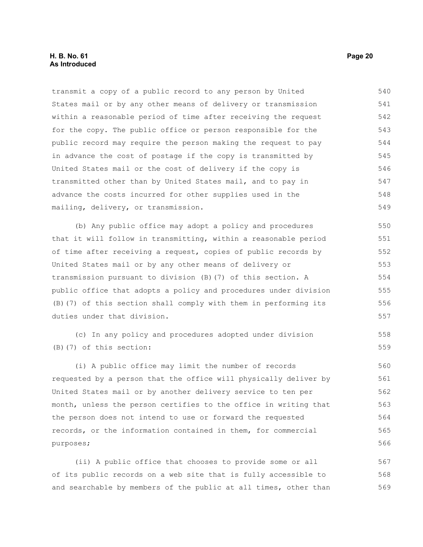transmit a copy of a public record to any person by United States mail or by any other means of delivery or transmission within a reasonable period of time after receiving the request for the copy. The public office or person responsible for the public record may require the person making the request to pay in advance the cost of postage if the copy is transmitted by United States mail or the cost of delivery if the copy is transmitted other than by United States mail, and to pay in advance the costs incurred for other supplies used in the mailing, delivery, or transmission. 540 541 542 543 544 545 546 547 548 549

(b) Any public office may adopt a policy and procedures that it will follow in transmitting, within a reasonable period of time after receiving a request, copies of public records by United States mail or by any other means of delivery or transmission pursuant to division (B)(7) of this section. A public office that adopts a policy and procedures under division (B)(7) of this section shall comply with them in performing its duties under that division.

(c) In any policy and procedures adopted under division (B)(7) of this section:

(i) A public office may limit the number of records requested by a person that the office will physically deliver by United States mail or by another delivery service to ten per month, unless the person certifies to the office in writing that the person does not intend to use or forward the requested records, or the information contained in them, for commercial purposes;

(ii) A public office that chooses to provide some or all of its public records on a web site that is fully accessible to and searchable by members of the public at all times, other than 567 568 569

558 559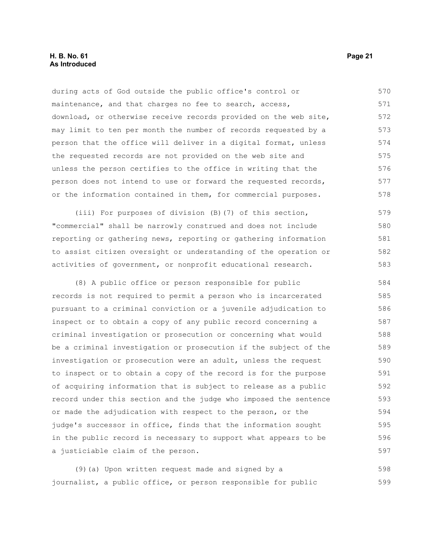during acts of God outside the public office's control or maintenance, and that charges no fee to search, access, download, or otherwise receive records provided on the web site, may limit to ten per month the number of records requested by a person that the office will deliver in a digital format, unless the requested records are not provided on the web site and unless the person certifies to the office in writing that the person does not intend to use or forward the requested records, or the information contained in them, for commercial purposes. 570 571 572 573 574 575 576 577 578

(iii) For purposes of division (B)(7) of this section, "commercial" shall be narrowly construed and does not include reporting or gathering news, reporting or gathering information to assist citizen oversight or understanding of the operation or activities of government, or nonprofit educational research. 579 580 581 582 583

(8) A public office or person responsible for public records is not required to permit a person who is incarcerated pursuant to a criminal conviction or a juvenile adjudication to inspect or to obtain a copy of any public record concerning a criminal investigation or prosecution or concerning what would be a criminal investigation or prosecution if the subject of the investigation or prosecution were an adult, unless the request to inspect or to obtain a copy of the record is for the purpose of acquiring information that is subject to release as a public record under this section and the judge who imposed the sentence or made the adjudication with respect to the person, or the judge's successor in office, finds that the information sought in the public record is necessary to support what appears to be a justiciable claim of the person. 584 585 586 587 588 589 590 591 592 593 594 595 596 597

(9)(a) Upon written request made and signed by a journalist, a public office, or person responsible for public 598 599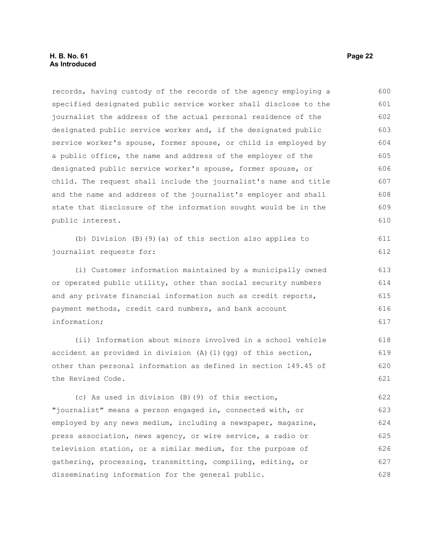records, having custody of the records of the agency employing a specified designated public service worker shall disclose to the journalist the address of the actual personal residence of the designated public service worker and, if the designated public service worker's spouse, former spouse, or child is employed by a public office, the name and address of the employer of the designated public service worker's spouse, former spouse, or child. The request shall include the journalist's name and title and the name and address of the journalist's employer and shall state that disclosure of the information sought would be in the public interest. 600 601 602 603 604 605 606 607 608 609 610

(b) Division (B)(9)(a) of this section also applies to journalist requests for:

(i) Customer information maintained by a municipally owned or operated public utility, other than social security numbers and any private financial information such as credit reports, payment methods, credit card numbers, and bank account information;

(ii) Information about minors involved in a school vehicle accident as provided in division  $(A)$   $(1)$  (gg) of this section, other than personal information as defined in section 149.45 of the Revised Code. 618 619 620 621

(c) As used in division (B)(9) of this section, "journalist" means a person engaged in, connected with, or employed by any news medium, including a newspaper, magazine, press association, news agency, or wire service, a radio or television station, or a similar medium, for the purpose of gathering, processing, transmitting, compiling, editing, or disseminating information for the general public. 622 623 624 625 626 627 628

611 612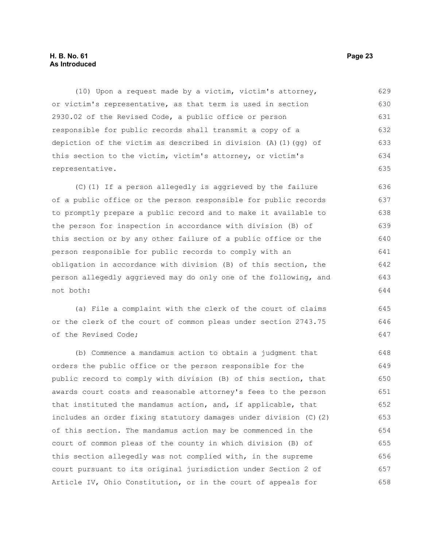#### **H. B. No. 61 Page 23 As Introduced**

(10) Upon a request made by a victim, victim's attorney, or victim's representative, as that term is used in section 2930.02 of the Revised Code, a public office or person responsible for public records shall transmit a copy of a depiction of the victim as described in division  $(A)$  (1)(gg) of this section to the victim, victim's attorney, or victim's representative. 629 630 631 632 633 634 635

(C)(1) If a person allegedly is aggrieved by the failure of a public office or the person responsible for public records to promptly prepare a public record and to make it available to the person for inspection in accordance with division (B) of this section or by any other failure of a public office or the person responsible for public records to comply with an obligation in accordance with division (B) of this section, the person allegedly aggrieved may do only one of the following, and not both: 636 637 638 639 640 641 642 643 644

(a) File a complaint with the clerk of the court of claims or the clerk of the court of common pleas under section 2743.75 of the Revised Code;

(b) Commence a mandamus action to obtain a judgment that orders the public office or the person responsible for the public record to comply with division (B) of this section, that awards court costs and reasonable attorney's fees to the person that instituted the mandamus action, and, if applicable, that includes an order fixing statutory damages under division (C)(2) of this section. The mandamus action may be commenced in the court of common pleas of the county in which division (B) of this section allegedly was not complied with, in the supreme court pursuant to its original jurisdiction under Section 2 of Article IV, Ohio Constitution, or in the court of appeals for 648 649 650 651 652 653 654 655 656 657 658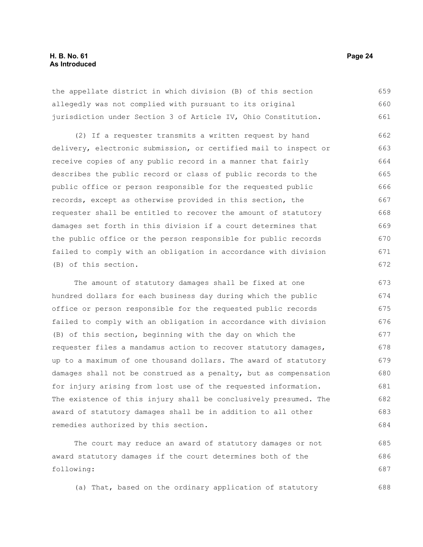#### **H. B. No. 61 Page 24 As Introduced**

the appellate district in which division (B) of this section allegedly was not complied with pursuant to its original jurisdiction under Section 3 of Article IV, Ohio Constitution. 659 660 661

(2) If a requester transmits a written request by hand delivery, electronic submission, or certified mail to inspect or receive copies of any public record in a manner that fairly describes the public record or class of public records to the public office or person responsible for the requested public records, except as otherwise provided in this section, the requester shall be entitled to recover the amount of statutory damages set forth in this division if a court determines that the public office or the person responsible for public records failed to comply with an obligation in accordance with division (B) of this section. 662 663 664 665 666 667 668 669 670 671 672

The amount of statutory damages shall be fixed at one hundred dollars for each business day during which the public office or person responsible for the requested public records failed to comply with an obligation in accordance with division (B) of this section, beginning with the day on which the requester files a mandamus action to recover statutory damages, up to a maximum of one thousand dollars. The award of statutory damages shall not be construed as a penalty, but as compensation for injury arising from lost use of the requested information. The existence of this injury shall be conclusively presumed. The award of statutory damages shall be in addition to all other remedies authorized by this section. 673 674 675 676 677 678 679 680 681 682 683 684

The court may reduce an award of statutory damages or not award statutory damages if the court determines both of the following:

(a) That, based on the ordinary application of statutory

685 686 687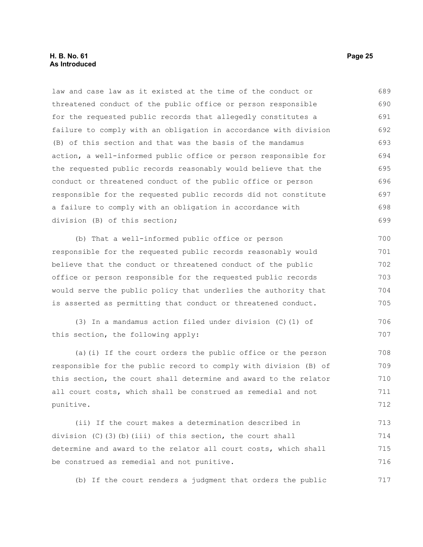#### **H. B. No. 61 Page 25 As Introduced**

law and case law as it existed at the time of the conduct or threatened conduct of the public office or person responsible for the requested public records that allegedly constitutes a failure to comply with an obligation in accordance with division (B) of this section and that was the basis of the mandamus action, a well-informed public office or person responsible for the requested public records reasonably would believe that the conduct or threatened conduct of the public office or person responsible for the requested public records did not constitute a failure to comply with an obligation in accordance with division (B) of this section; (b) That a well-informed public office or person responsible for the requested public records reasonably would believe that the conduct or threatened conduct of the public office or person responsible for the requested public records would serve the public policy that underlies the authority that is asserted as permitting that conduct or threatened conduct. (3) In a mandamus action filed under division (C)(1) of this section, the following apply: (a)(i) If the court orders the public office or the person responsible for the public record to comply with division (B) of this section, the court shall determine and award to the relator all court costs, which shall be construed as remedial and not punitive. (ii) If the court makes a determination described in 689 690 691 692 693 694 695 696 697 698 699 700 701 702 703 704 705 706 707 708 709 710 711 712 713

division  $(C)$  (3)(b)(iii) of this section, the court shall determine and award to the relator all court costs, which shall be construed as remedial and not punitive. 714 715 716

(b) If the court renders a judgment that orders the public 717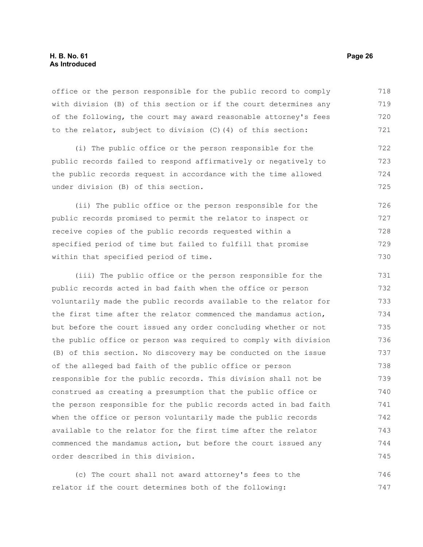#### **H. B. No. 61 Page 26 As Introduced**

office or the person responsible for the public record to comply with division (B) of this section or if the court determines any of the following, the court may award reasonable attorney's fees to the relator, subject to division (C)(4) of this section: 718 719 720 721

(i) The public office or the person responsible for the public records failed to respond affirmatively or negatively to the public records request in accordance with the time allowed under division (B) of this section.

(ii) The public office or the person responsible for the public records promised to permit the relator to inspect or receive copies of the public records requested within a specified period of time but failed to fulfill that promise within that specified period of time. 726 727 728 729 730

(iii) The public office or the person responsible for the public records acted in bad faith when the office or person voluntarily made the public records available to the relator for the first time after the relator commenced the mandamus action, but before the court issued any order concluding whether or not the public office or person was required to comply with division (B) of this section. No discovery may be conducted on the issue of the alleged bad faith of the public office or person responsible for the public records. This division shall not be construed as creating a presumption that the public office or the person responsible for the public records acted in bad faith when the office or person voluntarily made the public records available to the relator for the first time after the relator commenced the mandamus action, but before the court issued any order described in this division. 731 732 733 734 735 736 737 738 739 740 741 742 743 744 745

(c) The court shall not award attorney's fees to the relator if the court determines both of the following: 746 747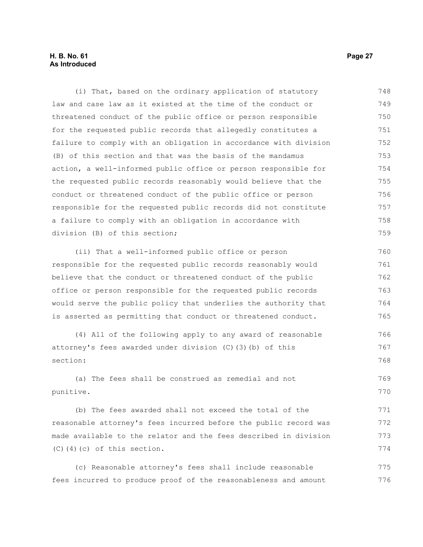#### **H. B. No. 61 Page 27 As Introduced**

(i) That, based on the ordinary application of statutory law and case law as it existed at the time of the conduct or threatened conduct of the public office or person responsible for the requested public records that allegedly constitutes a failure to comply with an obligation in accordance with division (B) of this section and that was the basis of the mandamus action, a well-informed public office or person responsible for the requested public records reasonably would believe that the conduct or threatened conduct of the public office or person responsible for the requested public records did not constitute a failure to comply with an obligation in accordance with division (B) of this section; 748 749 750 751 752 753 754 755 756 757 758 759

(ii) That a well-informed public office or person responsible for the requested public records reasonably would believe that the conduct or threatened conduct of the public office or person responsible for the requested public records would serve the public policy that underlies the authority that is asserted as permitting that conduct or threatened conduct. 760 761 762 763 764 765

```
(4) All of the following apply to any award of reasonable
attorney's fees awarded under division (C)(3)(b) of this
section: 
                                                                             766
                                                                             767
                                                                             768
```
(a) The fees shall be construed as remedial and not punitive. 769 770

(b) The fees awarded shall not exceed the total of the reasonable attorney's fees incurred before the public record was made available to the relator and the fees described in division (C)(4)(c) of this section. 771 772 773 774

(c) Reasonable attorney's fees shall include reasonable fees incurred to produce proof of the reasonableness and amount 775 776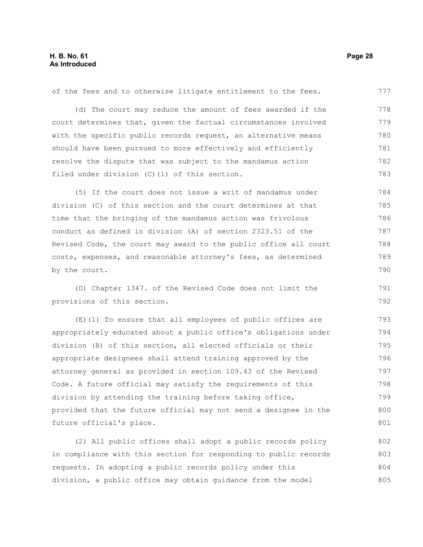of the fees and to otherwise litigate entitlement to the fees. (d) The court may reduce the amount of fees awarded if the court determines that, given the factual circumstances involved with the specific public records request, an alternative means should have been pursued to more effectively and efficiently resolve the dispute that was subject to the mandamus action filed under division (C)(1) of this section. (5) If the court does not issue a writ of mandamus under division (C) of this section and the court determines at that time that the bringing of the mandamus action was frivolous conduct as defined in division (A) of section 2323.51 of the Revised Code, the court may award to the public office all court costs, expenses, and reasonable attorney's fees, as determined by the court. 777 778 779 780 781 782 783 784 785 786 787 788 789 790

(D) Chapter 1347. of the Revised Code does not limit the provisions of this section.

(E)(1) To ensure that all employees of public offices are appropriately educated about a public office's obligations under division (B) of this section, all elected officials or their appropriate designees shall attend training approved by the attorney general as provided in section 109.43 of the Revised Code. A future official may satisfy the requirements of this division by attending the training before taking office, provided that the future official may not send a designee in the future official's place. 793 794 795 796 797 798 799 800 801

(2) All public offices shall adopt a public records policy in compliance with this section for responding to public records requests. In adopting a public records policy under this division, a public office may obtain guidance from the model 802 803 804 805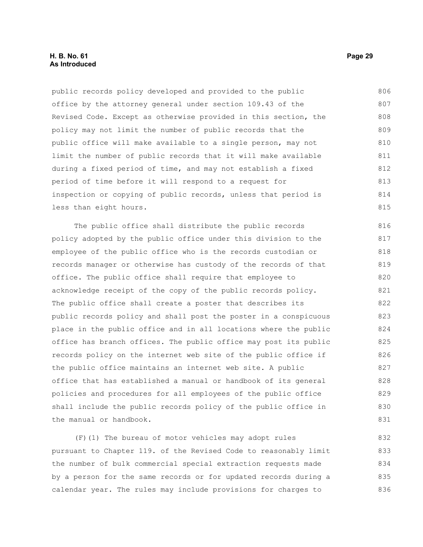#### **H. B. No. 61 Page 29 As Introduced**

public records policy developed and provided to the public office by the attorney general under section 109.43 of the Revised Code. Except as otherwise provided in this section, the policy may not limit the number of public records that the public office will make available to a single person, may not limit the number of public records that it will make available during a fixed period of time, and may not establish a fixed period of time before it will respond to a request for inspection or copying of public records, unless that period is less than eight hours. 806 807 808 809 810 811 812 813 814 815

The public office shall distribute the public records policy adopted by the public office under this division to the employee of the public office who is the records custodian or records manager or otherwise has custody of the records of that office. The public office shall require that employee to acknowledge receipt of the copy of the public records policy. The public office shall create a poster that describes its public records policy and shall post the poster in a conspicuous place in the public office and in all locations where the public office has branch offices. The public office may post its public records policy on the internet web site of the public office if the public office maintains an internet web site. A public office that has established a manual or handbook of its general policies and procedures for all employees of the public office shall include the public records policy of the public office in the manual or handbook. 816 817 818 819 820 821 822 823 824 825 826 827 828 829 830 831

(F)(1) The bureau of motor vehicles may adopt rules pursuant to Chapter 119. of the Revised Code to reasonably limit the number of bulk commercial special extraction requests made by a person for the same records or for updated records during a calendar year. The rules may include provisions for charges to 832 833 834 835 836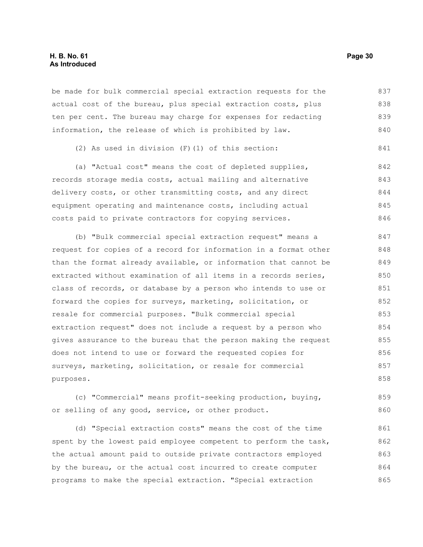#### **H. B. No. 61 Page 30 As Introduced**

be made for bulk commercial special extraction requests for the actual cost of the bureau, plus special extraction costs, plus ten per cent. The bureau may charge for expenses for redacting information, the release of which is prohibited by law. 837 838 839 840

```
(2) As used in division (F)(1) of this section: 
                                                                        841
```
(a) "Actual cost" means the cost of depleted supplies, records storage media costs, actual mailing and alternative delivery costs, or other transmitting costs, and any direct equipment operating and maintenance costs, including actual costs paid to private contractors for copying services. 842 843 844 845 846

(b) "Bulk commercial special extraction request" means a request for copies of a record for information in a format other than the format already available, or information that cannot be extracted without examination of all items in a records series, class of records, or database by a person who intends to use or forward the copies for surveys, marketing, solicitation, or resale for commercial purposes. "Bulk commercial special extraction request" does not include a request by a person who gives assurance to the bureau that the person making the request does not intend to use or forward the requested copies for surveys, marketing, solicitation, or resale for commercial purposes. 847 848 849 850 851 852 853 854 855 856 857 858

(c) "Commercial" means profit-seeking production, buying, or selling of any good, service, or other product. 859 860

(d) "Special extraction costs" means the cost of the time spent by the lowest paid employee competent to perform the task, the actual amount paid to outside private contractors employed by the bureau, or the actual cost incurred to create computer programs to make the special extraction. "Special extraction 861 862 863 864 865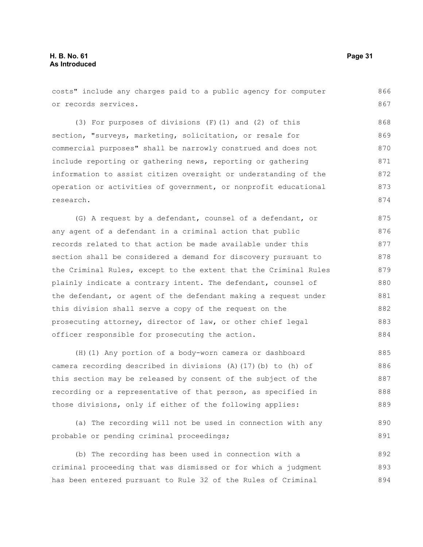costs" include any charges paid to a public agency for computer or records services. (3) For purposes of divisions (F)(1) and (2) of this section, "surveys, marketing, solicitation, or resale for commercial purposes" shall be narrowly construed and does not include reporting or gathering news, reporting or gathering information to assist citizen oversight or understanding of the operation or activities of government, or nonprofit educational research. (G) A request by a defendant, counsel of a defendant, or any agent of a defendant in a criminal action that public records related to that action be made available under this section shall be considered a demand for discovery pursuant to the Criminal Rules, except to the extent that the Criminal Rules plainly indicate a contrary intent. The defendant, counsel of 866 867 868 869 870 871 872 873 874 875 876 877 878 879 880

the defendant, or agent of the defendant making a request under this division shall serve a copy of the request on the prosecuting attorney, director of law, or other chief legal officer responsible for prosecuting the action. 881 882 883 884

(H)(1) Any portion of a body-worn camera or dashboard camera recording described in divisions (A)(17)(b) to (h) of this section may be released by consent of the subject of the recording or a representative of that person, as specified in those divisions, only if either of the following applies: 885 886 887 888 889

(a) The recording will not be used in connection with any probable or pending criminal proceedings;

(b) The recording has been used in connection with a criminal proceeding that was dismissed or for which a judgment has been entered pursuant to Rule 32 of the Rules of Criminal 892 893 894